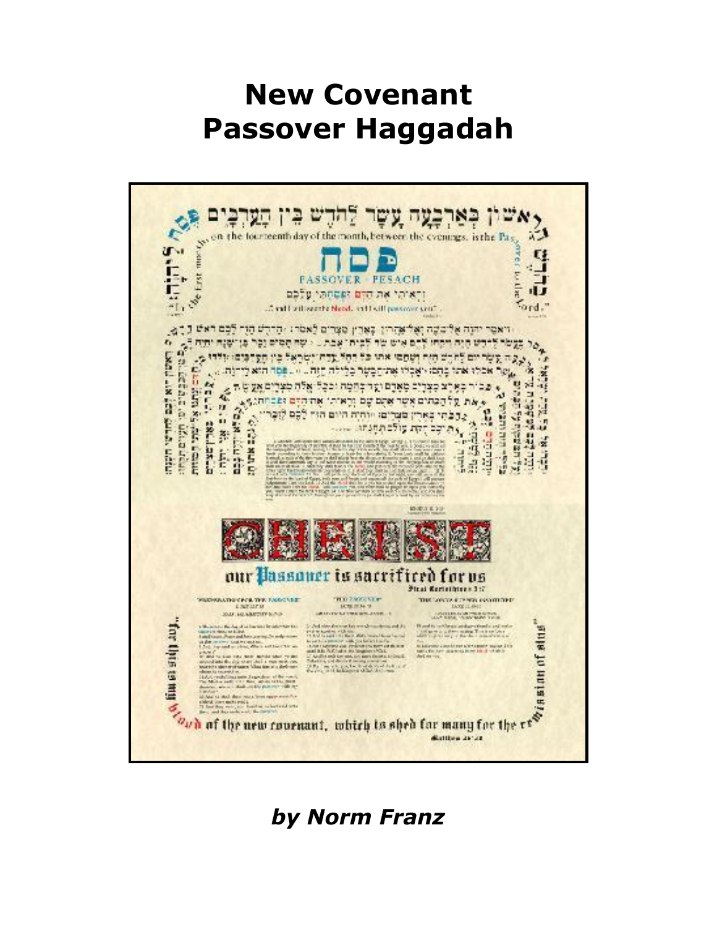# **New Covenant Passover Haggadah**



*by Norm Franz*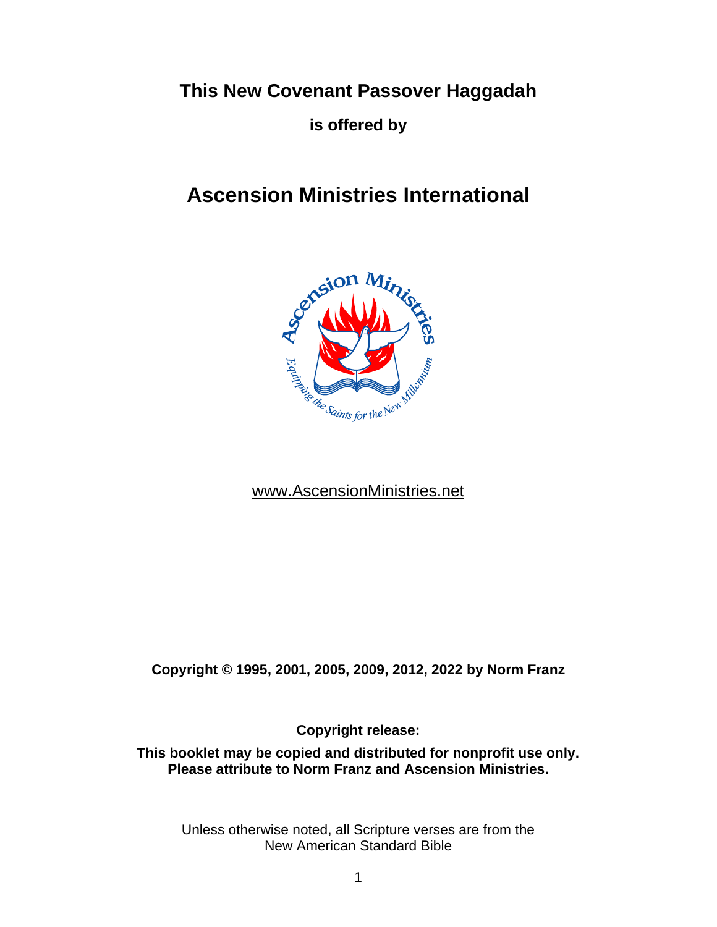**This New Covenant Passover Haggadah** 

**is offered by** 

## **Ascension Ministries International**



## [www.AscensionMinistries.net](http://www.ascensionministries.net/)

**Copyright © 1995, 2001, 2005, 2009, 2012, 2022 by Norm Franz**

**Copyright release:**

**This booklet may be copied and distributed for nonprofit use only. Please attribute to Norm Franz and Ascension Ministries.**

Unless otherwise noted, all Scripture verses are from the New American Standard Bible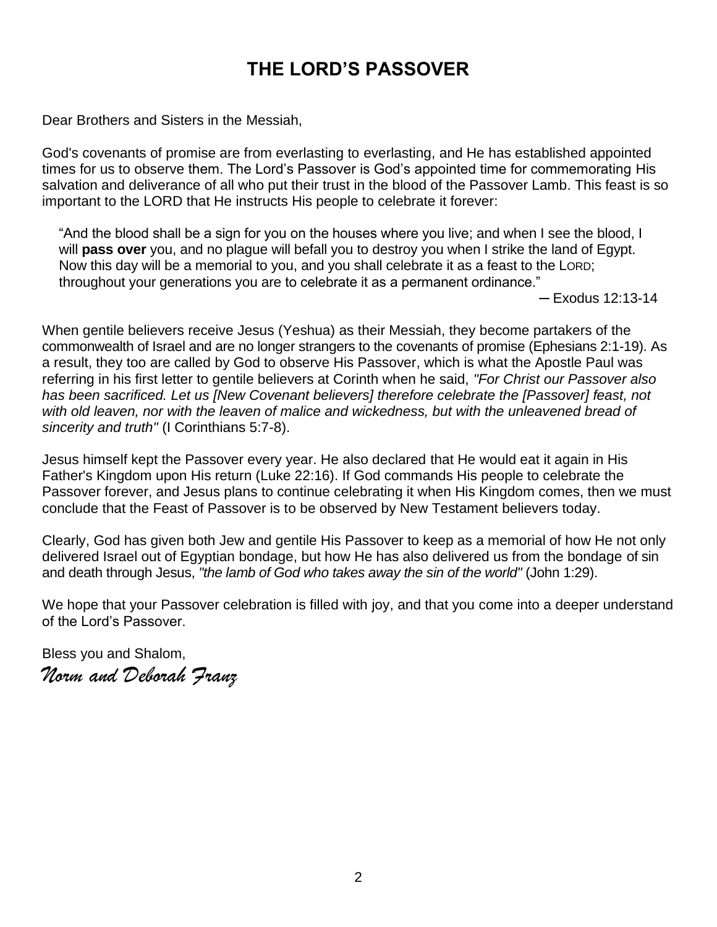## **THE LORD'S PASSOVER**

Dear Brothers and Sisters in the Messiah,

God's covenants of promise are from everlasting to everlasting, and He has established appointed times for us to observe them. The Lord's Passover is God's appointed time for commemorating His salvation and deliverance of all who put their trust in the blood of the Passover Lamb. This feast is so important to the LORD that He instructs His people to celebrate it forever:

"And the blood shall be a sign for you on the houses where you live; and when I see the blood, I will **pass over** you, and no plague will befall you to destroy you when I strike the land of Egypt. Now this day will be a memorial to you, and you shall celebrate it as a feast to the LORD; throughout your generations you are to celebrate it as a permanent ordinance."

─ Exodus 12:13-14

When gentile believers receive Jesus (Yeshua) as their Messiah, they become partakers of the commonwealth of Israel and are no longer strangers to the covenants of promise (Ephesians 2:1-19). As a result, they too are called by God to observe His Passover, which is what the Apostle Paul was referring in his first letter to gentile believers at Corinth when he said, *"For Christ our Passover also has been sacrificed. Let us [New Covenant believers] therefore celebrate the [Passover] feast, not*  with old leaven, nor with the leaven of malice and wickedness, but with the unleavened bread of *sincerity and truth"* (I Corinthians 5:7-8).

Jesus himself kept the Passover every year. He also declared that He would eat it again in His Father's Kingdom upon His return (Luke 22:16). If God commands His people to celebrate the Passover forever, and Jesus plans to continue celebrating it when His Kingdom comes, then we must conclude that the Feast of Passover is to be observed by New Testament believers today.

Clearly, God has given both Jew and gentile His Passover to keep as a memorial of how He not only delivered Israel out of Egyptian bondage, but how He has also delivered us from the bondage of sin and death through Jesus, *"the lamb of God who takes away the sin of the world"* (John 1:29).

We hope that your Passover celebration is filled with joy, and that you come into a deeper understand of the Lord's Passover.

Bless you and Shalom, *Norm and Deborah Franz*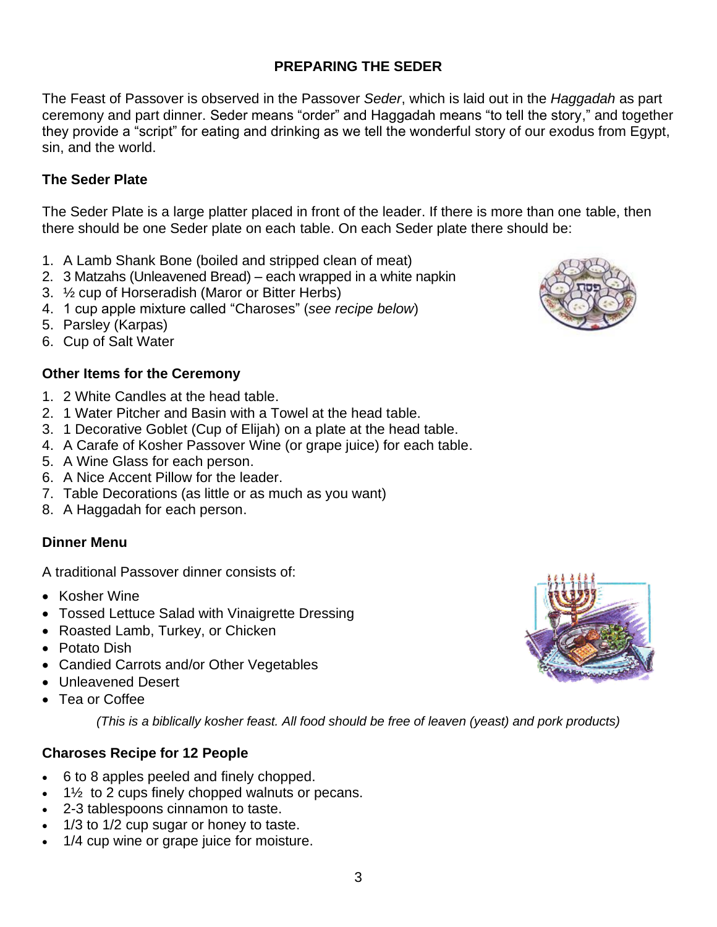# 3

## **PREPARING THE SEDER**

The Feast of Passover is observed in the Passover *Seder*, which is laid out in the *Haggadah* as part ceremony and part dinner. Seder means "order" and Haggadah means "to tell the story," and together they provide a "script" for eating and drinking as we tell the wonderful story of our exodus from Egypt, sin, and the world.

#### **The Seder Plate**

The Seder Plate is a large platter placed in front of the leader. If there is more than one table, then there should be one Seder plate on each table. On each Seder plate there should be:

- 1. A Lamb Shank Bone (boiled and stripped clean of meat)
- 2. 3 Matzahs (Unleavened Bread) each wrapped in a white napkin
- 3. ½ cup of Horseradish (Maror or Bitter Herbs)
- 4. 1 cup apple mixture called "Charoses" (*see recipe below*)
- 5. Parsley (Karpas)
- 6. Cup of Salt Water

## **Other Items for the Ceremony**

- 1. 2 White Candles at the head table.
- 2. 1 Water Pitcher and Basin with a Towel at the head table.
- 3. 1 Decorative Goblet (Cup of Elijah) on a plate at the head table.
- 4. A Carafe of Kosher Passover Wine (or grape juice) for each table.
- 5. A Wine Glass for each person.
- 6. A Nice Accent Pillow for the leader.
- 7. Table Decorations (as little or as much as you want)
- 8. A Haggadah for each person.

#### **Dinner Menu**

A traditional Passover dinner consists of:

- Kosher Wine
- Tossed Lettuce Salad with Vinaigrette Dressing
- Roasted Lamb, Turkey, or Chicken
- Potato Dish
- Candied Carrots and/or Other Vegetables
- Unleavened Desert
- Tea or Coffee

*(This is a biblically kosher feast. All food should be free of leaven (yeast) and pork products)*

## **Charoses Recipe for 12 People**

- 6 to 8 apples peeled and finely chopped.
- $\bullet$  1 $\frac{1}{2}$  to 2 cups finely chopped walnuts or pecans.
- 2-3 tablespoons cinnamon to taste.
- 1/3 to 1/2 cup sugar or honey to taste.
- 1/4 cup wine or grape juice for moisture.



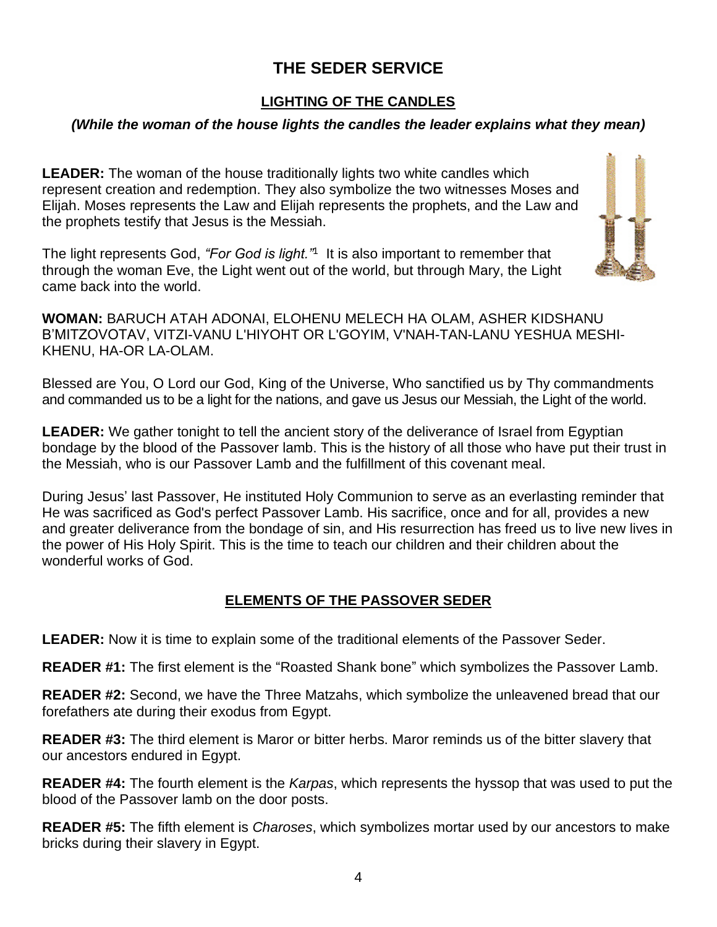## **THE SEDER SERVICE**

## **LIGHTING OF THE CANDLES**

## *(While the woman of the house lights the candles the leader explains what they mean)*

**LEADER:** The woman of the house traditionally lights two white candles which represent creation and redemption. They also symbolize the two witnesses Moses and Elijah. Moses represents the Law and Elijah represents the prophets, and the Law and the prophets testify that Jesus is the Messiah.

The light represents God, *"For God is light."*<sup>1</sup> It is also important to remember that through the woman Eve, the Light went out of the world, but through Mary, the Light came back into the world.



**WOMAN:** BARUCH ATAH ADONAI, ELOHENU MELECH HA OLAM, ASHER KIDSHANU B'MITZOVOTAV, VITZI-VANU L'HIYOHT OR L'GOYIM, V'NAH-TAN-LANU YESHUA MESHI-KHENU, HA-OR LA-OLAM.

Blessed are You, O Lord our God, King of the Universe, Who sanctified us by Thy commandments and commanded us to be a light for the nations, and gave us Jesus our Messiah, the Light of the world.

**LEADER:** We gather tonight to tell the ancient story of the deliverance of Israel from Egyptian bondage by the blood of the Passover lamb. This is the history of all those who have put their trust in the Messiah, who is our Passover Lamb and the fulfillment of this covenant meal.

During Jesus' last Passover, He instituted Holy Communion to serve as an everlasting reminder that He was sacrificed as God's perfect Passover Lamb. His sacrifice, once and for all, provides a new and greater deliverance from the bondage of sin, and His resurrection has freed us to live new lives in the power of His Holy Spirit. This is the time to teach our children and their children about the wonderful works of God.

## **ELEMENTS OF THE PASSOVER SEDER**

**LEADER:** Now it is time to explain some of the traditional elements of the Passover Seder.

**READER #1:** The first element is the "Roasted Shank bone" which symbolizes the Passover Lamb.

**READER #2:** Second, we have the Three Matzahs, which symbolize the unleavened bread that our forefathers ate during their exodus from Egypt.

**READER #3:** The third element is Maror or bitter herbs. Maror reminds us of the bitter slavery that our ancestors endured in Egypt.

**READER #4:** The fourth element is the *Karpas*, which represents the hyssop that was used to put the blood of the Passover lamb on the door posts.

**READER #5:** The fifth element is *Charoses*, which symbolizes mortar used by our ancestors to make bricks during their slavery in Egypt.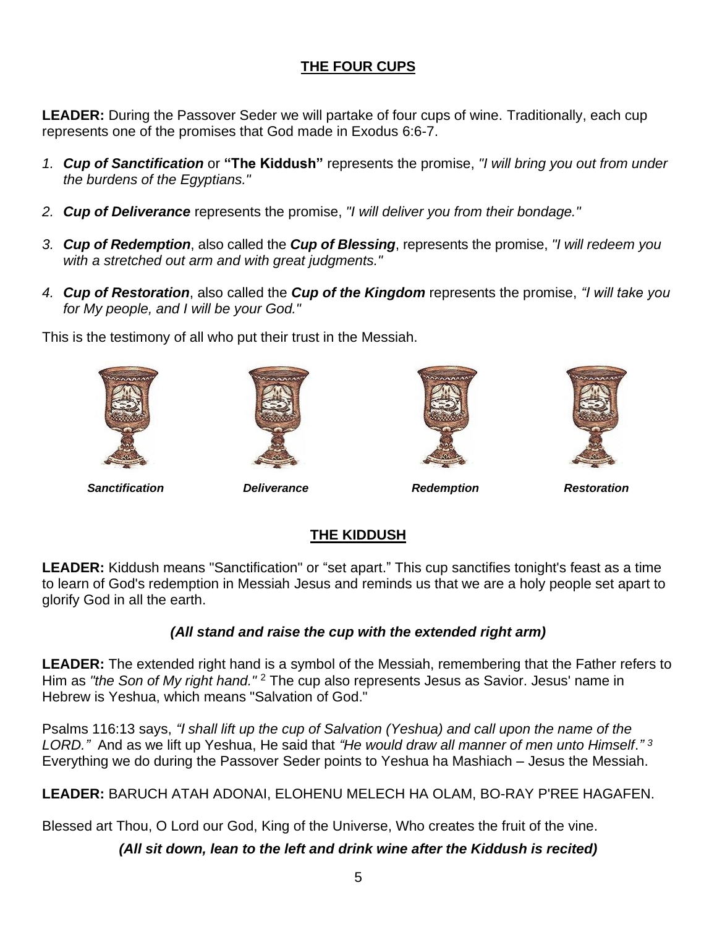## **THE FOUR CUPS**

**LEADER:** During the Passover Seder we will partake of four cups of wine. Traditionally, each cup represents one of the promises that God made in Exodus 6:6-7.

- *1. Cup of Sanctification* or **"The Kiddush"** represents the promise, *"I will bring you out from under the burdens of the Egyptians."*
- *2. Cup of Deliverance* represents the promise, *"I will deliver you from their bondage."*
- *3. Cup of Redemption*, also called the *Cup of Blessing*, represents the promise, *"I will redeem you with a stretched out arm and with great judgments."*
- *4. Cup of Restoration*, also called the *Cup of the Kingdom* represents the promise, *"I will take you for My people, and I will be your God."*

This is the testimony of all who put their trust in the Messiah.









*Sanctification Deliverance Redemption Restoration*

## **THE KIDDUSH**

**LEADER:** Kiddush means "Sanctification" or "set apart." This cup sanctifies tonight's feast as a time to learn of God's redemption in Messiah Jesus and reminds us that we are a holy people set apart to glorify God in all the earth.

## *(All stand and raise the cup with the extended right arm)*

**LEADER:** The extended right hand is a symbol of the Messiah, remembering that the Father refers to Him as *"the Son of My right hand."* <sup>2</sup> The cup also represents Jesus as Savior. Jesus' name in Hebrew is Yeshua, which means "Salvation of God."

Psalms 116:13 says, *"I shall lift up the cup of Salvation (Yeshua) and call upon the name of the LORD."* And as we lift up Yeshua, He said that *"He would draw all manner of men unto Himself*.*" 3* Everything we do during the Passover Seder points to Yeshua ha Mashiach – Jesus the Messiah.

**LEADER:** BARUCH ATAH ADONAI, ELOHENU MELECH HA OLAM, BO-RAY P'REE HAGAFEN.

Blessed art Thou, O Lord our God, King of the Universe, Who creates the fruit of the vine.

*(All sit down, lean to the left and drink wine after the Kiddush is recited)*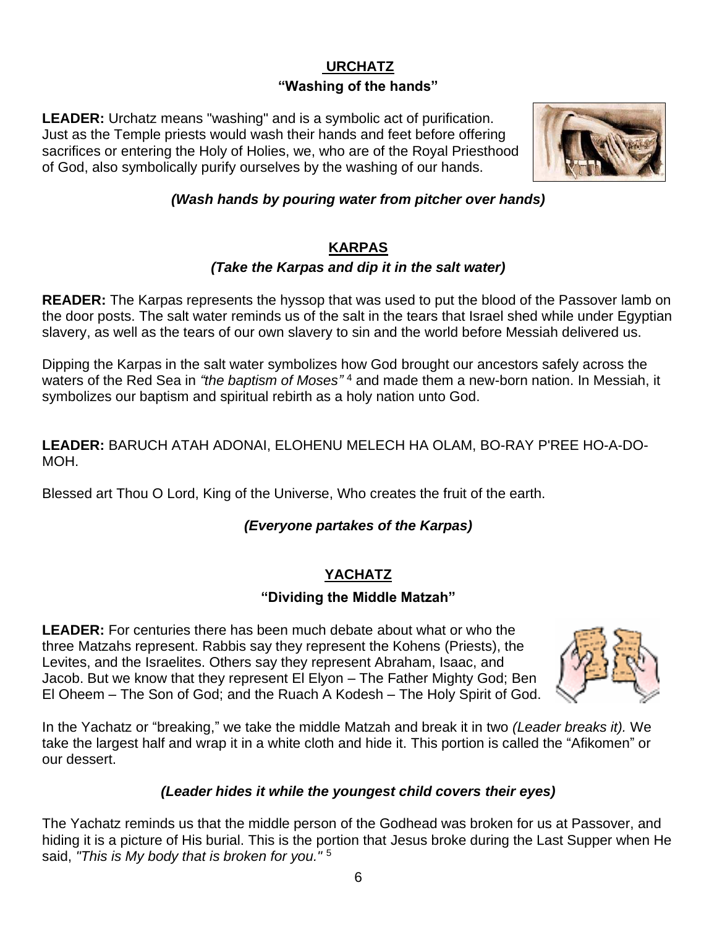## **URCHATZ "Washing of the hands"**

**LEADER:** Urchatz means "washing" and is a symbolic act of purification. Just as the Temple priests would wash their hands and feet before offering sacrifices or entering the Holy of Holies, we, who are of the Royal Priesthood of God, also symbolically purify ourselves by the washing of our hands.



## *(Wash hands by pouring water from pitcher over hands)*

#### **KARPAS**

## *(Take the Karpas and dip it in the salt water)*

**READER:** The Karpas represents the hyssop that was used to put the blood of the Passover lamb on the door posts. The salt water reminds us of the salt in the tears that Israel shed while under Egyptian slavery, as well as the tears of our own slavery to sin and the world before Messiah delivered us.

Dipping the Karpas in the salt water symbolizes how God brought our ancestors safely across the waters of the Red Sea in *"the baptism of Moses"* <sup>4</sup> and made them a new-born nation. In Messiah, it symbolizes our baptism and spiritual rebirth as a holy nation unto God.

**LEADER:** BARUCH ATAH ADONAI, ELOHENU MELECH HA OLAM, BO-RAY P'REE HO-A-DO-MOH.

Blessed art Thou O Lord, King of the Universe, Who creates the fruit of the earth.

## *(Everyone partakes of the Karpas)*

## **YACHATZ**

## **"Dividing the Middle Matzah"**

**LEADER:** For centuries there has been much debate about what or who the three Matzahs represent. Rabbis say they represent the Kohens (Priests), the Levites, and the Israelites. Others say they represent Abraham, Isaac, and Jacob. But we know that they represent El Elyon – The Father Mighty God; Ben El Oheem – The Son of God; and the Ruach A Kodesh – The Holy Spirit of God.



In the Yachatz or "breaking," we take the middle Matzah and break it in two *(Leader breaks it).* We take the largest half and wrap it in a white cloth and hide it. This portion is called the "Afikomen" or our dessert.

## *(Leader hides it while the youngest child covers their eyes)*

The Yachatz reminds us that the middle person of the Godhead was broken for us at Passover, and hiding it is a picture of His burial. This is the portion that Jesus broke during the Last Supper when He said, *"This is My body that is broken for you."* <sup>5</sup>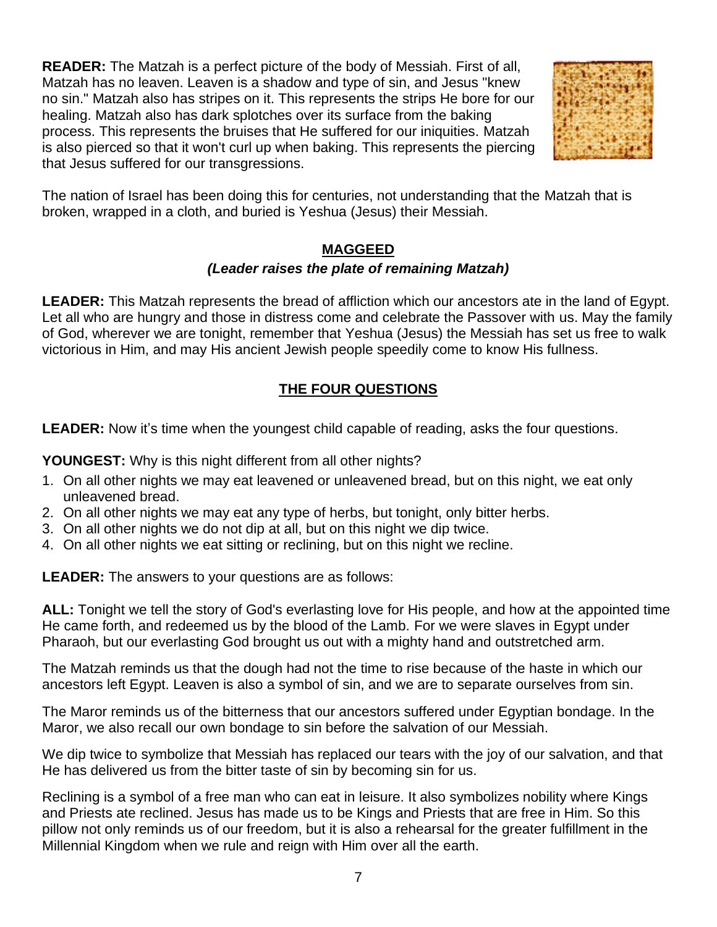**READER:** The Matzah is a perfect picture of the body of Messiah. First of all, Matzah has no leaven. Leaven is a shadow and type of sin, and Jesus "knew no sin." Matzah also has stripes on it. This represents the strips He bore for our healing. Matzah also has dark splotches over its surface from the baking process. This represents the bruises that He suffered for our iniquities. Matzah is also pierced so that it won't curl up when baking. This represents the piercing that Jesus suffered for our transgressions.



The nation of Israel has been doing this for centuries, not understanding that the Matzah that is broken, wrapped in a cloth, and buried is Yeshua (Jesus) their Messiah.

## **MAGGEED**

## *(Leader raises the plate of remaining Matzah)*

**LEADER:** This Matzah represents the bread of affliction which our ancestors ate in the land of Egypt. Let all who are hungry and those in distress come and celebrate the Passover with us. May the family of God, wherever we are tonight, remember that Yeshua (Jesus) the Messiah has set us free to walk victorious in Him, and may His ancient Jewish people speedily come to know His fullness.

## **THE FOUR QUESTIONS**

**LEADER:** Now it's time when the youngest child capable of reading, asks the four questions.

**YOUNGEST:** Why is this night different from all other nights?

- 1. On all other nights we may eat leavened or unleavened bread, but on this night, we eat only unleavened bread.
- 2. On all other nights we may eat any type of herbs, but tonight, only bitter herbs.
- 3. On all other nights we do not dip at all, but on this night we dip twice.
- 4. On all other nights we eat sitting or reclining, but on this night we recline.

**LEADER:** The answers to your questions are as follows:

**ALL:** Tonight we tell the story of God's everlasting love for His people, and how at the appointed time He came forth, and redeemed us by the blood of the Lamb. For we were slaves in Egypt under Pharaoh, but our everlasting God brought us out with a mighty hand and outstretched arm.

The Matzah reminds us that the dough had not the time to rise because of the haste in which our ancestors left Egypt. Leaven is also a symbol of sin, and we are to separate ourselves from sin.

The Maror reminds us of the bitterness that our ancestors suffered under Egyptian bondage. In the Maror, we also recall our own bondage to sin before the salvation of our Messiah.

We dip twice to symbolize that Messiah has replaced our tears with the joy of our salvation, and that He has delivered us from the bitter taste of sin by becoming sin for us.

Reclining is a symbol of a free man who can eat in leisure. It also symbolizes nobility where Kings and Priests ate reclined. Jesus has made us to be Kings and Priests that are free in Him. So this pillow not only reminds us of our freedom, but it is also a rehearsal for the greater fulfillment in the Millennial Kingdom when we rule and reign with Him over all the earth.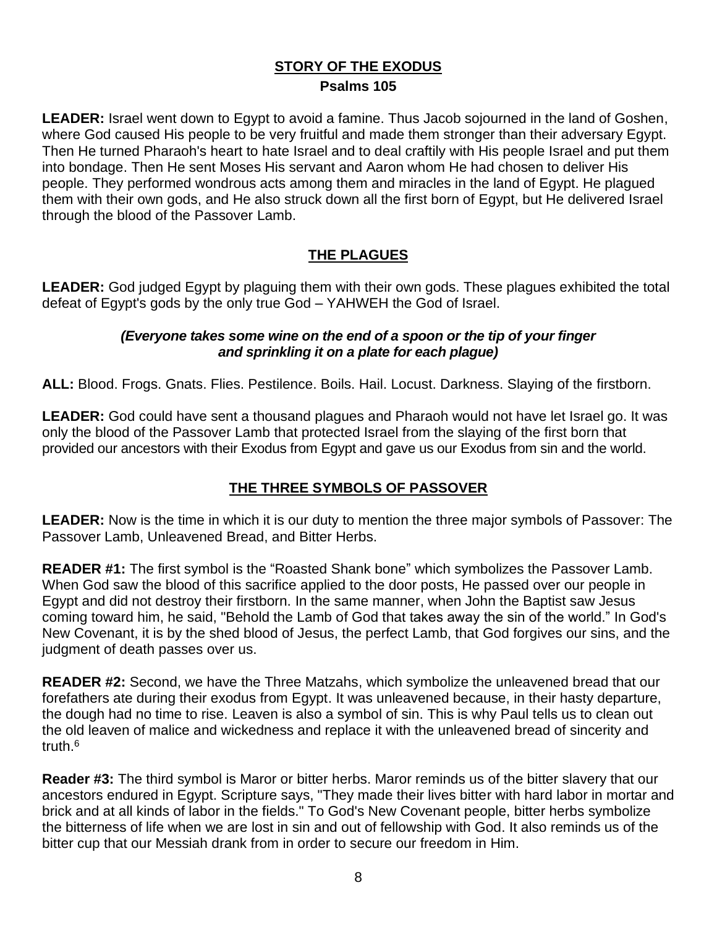## **STORY OF THE EXODUS Psalms 105**

**LEADER:** Israel went down to Egypt to avoid a famine. Thus Jacob sojourned in the land of Goshen, where God caused His people to be very fruitful and made them stronger than their adversary Egypt. Then He turned Pharaoh's heart to hate Israel and to deal craftily with His people Israel and put them into bondage. Then He sent Moses His servant and Aaron whom He had chosen to deliver His people. They performed wondrous acts among them and miracles in the land of Egypt. He plagued them with their own gods, and He also struck down all the first born of Egypt, but He delivered Israel through the blood of the Passover Lamb.

## **THE PLAGUES**

**LEADER:** God judged Egypt by plaguing them with their own gods. These plagues exhibited the total defeat of Egypt's gods by the only true God – YAHWEH the God of Israel.

#### *(Everyone takes some wine on the end of a spoon or the tip of your finger and sprinkling it on a plate for each plague)*

**ALL:** Blood. Frogs. Gnats. Flies. Pestilence. Boils. Hail. Locust. Darkness. Slaying of the firstborn.

**LEADER:** God could have sent a thousand plagues and Pharaoh would not have let Israel go. It was only the blood of the Passover Lamb that protected Israel from the slaying of the first born that provided our ancestors with their Exodus from Egypt and gave us our Exodus from sin and the world.

## **THE THREE SYMBOLS OF PASSOVER**

**LEADER:** Now is the time in which it is our duty to mention the three major symbols of Passover: The Passover Lamb, Unleavened Bread, and Bitter Herbs.

**READER #1:** The first symbol is the "Roasted Shank bone" which symbolizes the Passover Lamb. When God saw the blood of this sacrifice applied to the door posts, He passed over our people in Egypt and did not destroy their firstborn. In the same manner, when John the Baptist saw Jesus coming toward him, he said, "Behold the Lamb of God that takes away the sin of the world." In God's New Covenant, it is by the shed blood of Jesus, the perfect Lamb, that God forgives our sins, and the judgment of death passes over us.

**READER #2:** Second, we have the Three Matzahs, which symbolize the unleavened bread that our forefathers ate during their exodus from Egypt. It was unleavened because, in their hasty departure, the dough had no time to rise. Leaven is also a symbol of sin. This is why Paul tells us to clean out the old leaven of malice and wickedness and replace it with the unleavened bread of sincerity and truth. 6

**Reader #3:** The third symbol is Maror or bitter herbs. Maror reminds us of the bitter slavery that our ancestors endured in Egypt. Scripture says, "They made their lives bitter with hard labor in mortar and brick and at all kinds of labor in the fields." To God's New Covenant people, bitter herbs symbolize the bitterness of life when we are lost in sin and out of fellowship with God. It also reminds us of the bitter cup that our Messiah drank from in order to secure our freedom in Him.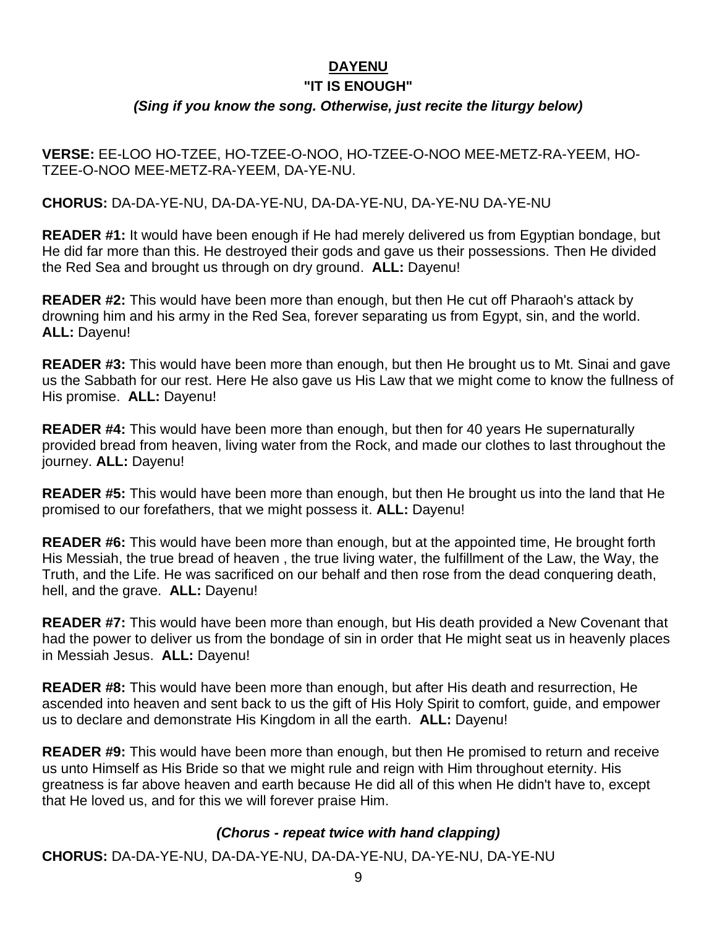#### **DAYENU**

#### **"IT IS ENOUGH"**

## *(Sing if you know the song. Otherwise, just recite the liturgy below)*

**VERSE:** EE-LOO HO-TZEE, HO-TZEE-O-NOO, HO-TZEE-O-NOO MEE-METZ-RA-YEEM, HO-TZEE-O-NOO MEE-METZ-RA-YEEM, DA-YE-NU.

**CHORUS:** DA-DA-YE-NU, DA-DA-YE-NU, DA-DA-YE-NU, DA-YE-NU DA-YE-NU

**READER #1:** It would have been enough if He had merely delivered us from Egyptian bondage, but He did far more than this. He destroyed their gods and gave us their possessions. Then He divided the Red Sea and brought us through on dry ground. **ALL:** Dayenu!

**READER #2:** This would have been more than enough, but then He cut off Pharaoh's attack by drowning him and his army in the Red Sea, forever separating us from Egypt, sin, and the world. **ALL:** Dayenu!

**READER #3:** This would have been more than enough, but then He brought us to Mt. Sinai and gave us the Sabbath for our rest. Here He also gave us His Law that we might come to know the fullness of His promise. **ALL:** Dayenu!

**READER #4:** This would have been more than enough, but then for 40 years He supernaturally provided bread from heaven, living water from the Rock, and made our clothes to last throughout the journey. **ALL:** Dayenu!

**READER #5:** This would have been more than enough, but then He brought us into the land that He promised to our forefathers, that we might possess it. **ALL:** Dayenu!

**READER #6:** This would have been more than enough, but at the appointed time, He brought forth His Messiah, the true bread of heaven , the true living water, the fulfillment of the Law, the Way, the Truth, and the Life. He was sacrificed on our behalf and then rose from the dead conquering death, hell, and the grave. **ALL:** Dayenu!

**READER #7:** This would have been more than enough, but His death provided a New Covenant that had the power to deliver us from the bondage of sin in order that He might seat us in heavenly places in Messiah Jesus. **ALL:** Dayenu!

**READER #8:** This would have been more than enough, but after His death and resurrection, He ascended into heaven and sent back to us the gift of His Holy Spirit to comfort, guide, and empower us to declare and demonstrate His Kingdom in all the earth. **ALL:** Dayenu!

**READER #9:** This would have been more than enough, but then He promised to return and receive us unto Himself as His Bride so that we might rule and reign with Him throughout eternity. His greatness is far above heaven and earth because He did all of this when He didn't have to, except that He loved us, and for this we will forever praise Him.

## *(Chorus - repeat twice with hand clapping)*

**CHORUS:** DA-DA-YE-NU, DA-DA-YE-NU, DA-DA-YE-NU, DA-YE-NU, DA-YE-NU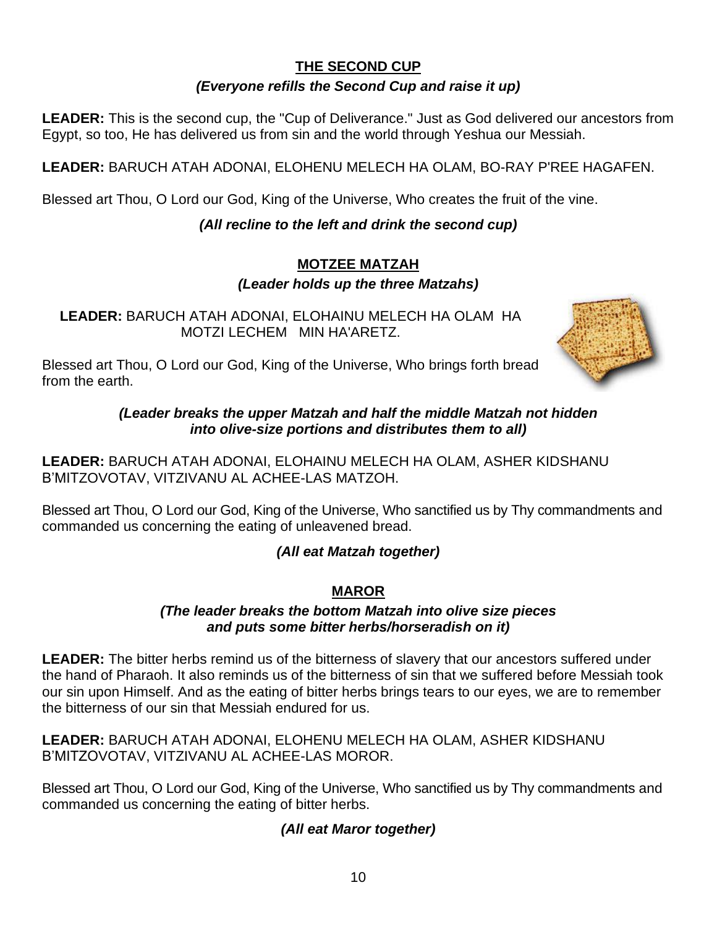## **THE SECOND CUP**

## *(Everyone refills the Second Cup and raise it up)*

**LEADER:** This is the second cup, the "Cup of Deliverance." Just as God delivered our ancestors from Egypt, so too, He has delivered us from sin and the world through Yeshua our Messiah.

**LEADER:** BARUCH ATAH ADONAI, ELOHENU MELECH HA OLAM, BO-RAY P'REE HAGAFEN.

Blessed art Thou, O Lord our God, King of the Universe, Who creates the fruit of the vine.

## *(All recline to the left and drink the second cup)*

#### **MOTZEE MATZAH** *(Leader holds up the three Matzahs)*

**LEADER:** BARUCH ATAH ADONAI, ELOHAINU MELECH HA OLAM HA MOTZI LECHEM MIN HA'ARETZ.



Blessed art Thou, O Lord our God, King of the Universe, Who brings forth bread from the earth.

> *(Leader breaks the upper Matzah and half the middle Matzah not hidden into olive-size portions and distributes them to all)*

**LEADER:** BARUCH ATAH ADONAI, ELOHAINU MELECH HA OLAM, ASHER KIDSHANU B'MITZOVOTAV, VITZIVANU AL ACHEE-LAS MATZOH.

Blessed art Thou, O Lord our God, King of the Universe, Who sanctified us by Thy commandments and commanded us concerning the eating of unleavened bread.

## *(All eat Matzah together)*

## **MAROR**

## *(The leader breaks the bottom Matzah into olive size pieces and puts some bitter herbs/horseradish on it)*

**LEADER:** The bitter herbs remind us of the bitterness of slavery that our ancestors suffered under the hand of Pharaoh. It also reminds us of the bitterness of sin that we suffered before Messiah took our sin upon Himself. And as the eating of bitter herbs brings tears to our eyes, we are to remember the bitterness of our sin that Messiah endured for us.

**LEADER:** BARUCH ATAH ADONAI, ELOHENU MELECH HA OLAM, ASHER KIDSHANU B'MITZOVOTAV, VITZIVANU AL ACHEE-LAS MOROR.

Blessed art Thou, O Lord our God, King of the Universe, Who sanctified us by Thy commandments and commanded us concerning the eating of bitter herbs.

## *(All eat Maror together)*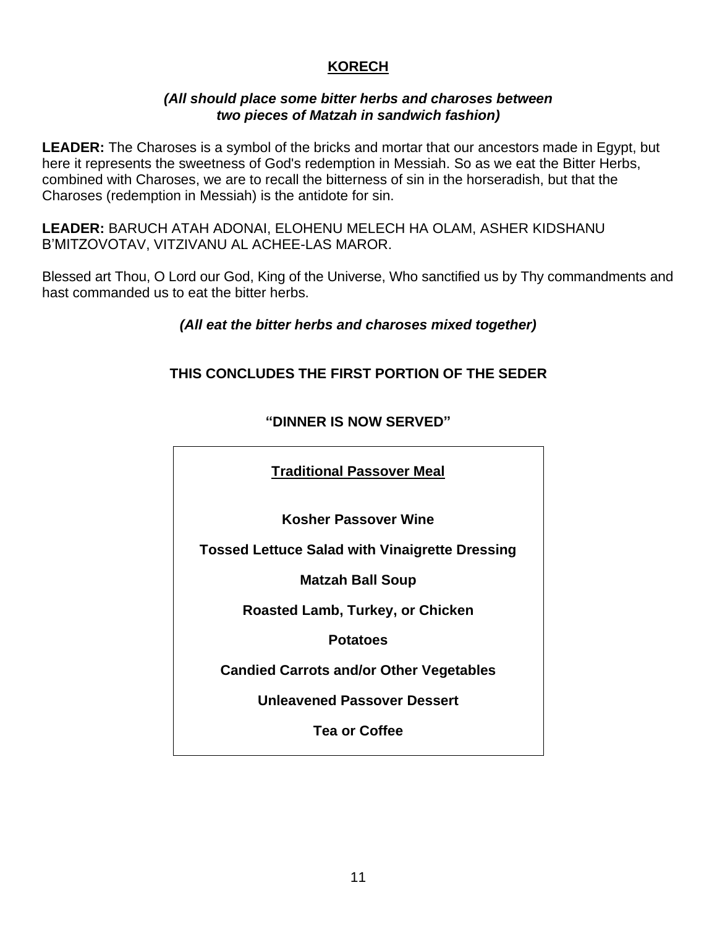## **KORECH**

#### *(All should place some bitter herbs and charoses between two pieces of Matzah in sandwich fashion)*

**LEADER:** The Charoses is a symbol of the bricks and mortar that our ancestors made in Egypt, but here it represents the sweetness of God's redemption in Messiah. So as we eat the Bitter Herbs, combined with Charoses, we are to recall the bitterness of sin in the horseradish, but that the Charoses (redemption in Messiah) is the antidote for sin.

**LEADER:** BARUCH ATAH ADONAI, ELOHENU MELECH HA OLAM, ASHER KIDSHANU B'MITZOVOTAV, VITZIVANU AL ACHEE-LAS MAROR.

Blessed art Thou, O Lord our God, King of the Universe, Who sanctified us by Thy commandments and hast commanded us to eat the bitter herbs.

## *(All eat the bitter herbs and charoses mixed together)*

## **THIS CONCLUDES THE FIRST PORTION OF THE SEDER**

| <b>Traditional Passover Meal</b>                      |
|-------------------------------------------------------|
| <b>Kosher Passover Wine</b>                           |
| <b>Tossed Lettuce Salad with Vinaigrette Dressing</b> |
| <b>Matzah Ball Soup</b>                               |
| Roasted Lamb, Turkey, or Chicken                      |
| <b>Potatoes</b>                                       |
| <b>Candied Carrots and/or Other Vegetables</b>        |
| <b>Unleavened Passover Dessert</b>                    |
| <b>Tea or Coffee</b>                                  |
|                                                       |

#### **"DINNER IS NOW SERVED"**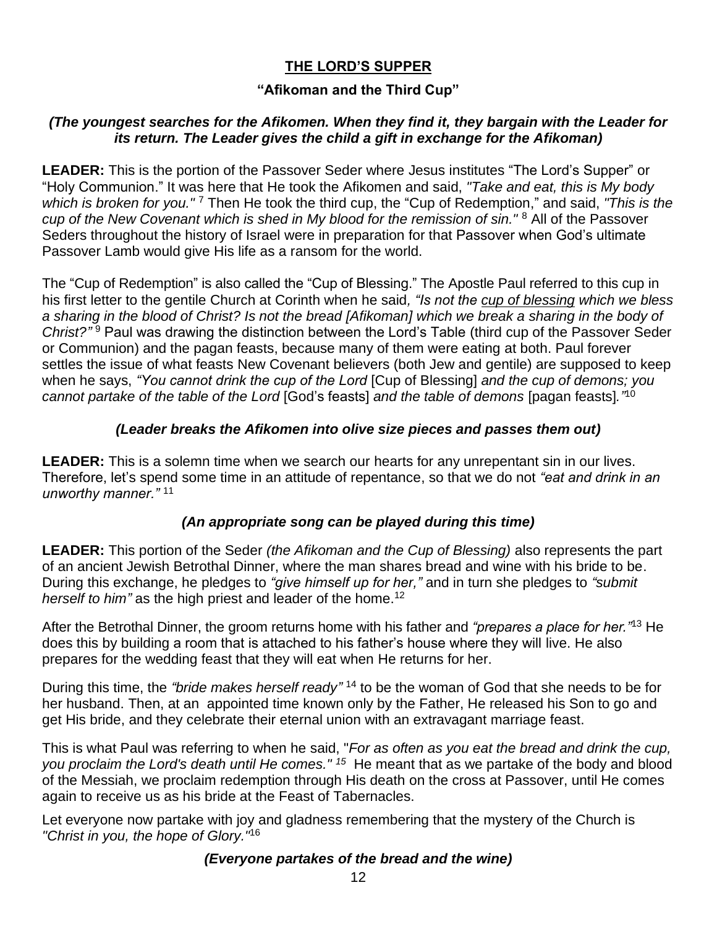## **THE LORD'S SUPPER**

## **"Afikoman and the Third Cup"**

#### *(The youngest searches for the Afikomen. When they find it, they bargain with the Leader for its return. The Leader gives the child a gift in exchange for the Afikoman)*

**LEADER:** This is the portion of the Passover Seder where Jesus institutes "The Lord's Supper" or "Holy Communion." It was here that He took the Afikomen and said, *"Take and eat, this is My body which is broken for you."* <sup>7</sup> Then He took the third cup, the "Cup of Redemption," and said, *"This is the cup of the New Covenant which is shed in My blood for the remission of sin."* <sup>8</sup> All of the Passover Seders throughout the history of Israel were in preparation for that Passover when God's ultimate Passover Lamb would give His life as a ransom for the world.

The "Cup of Redemption" is also called the "Cup of Blessing." The Apostle Paul referred to this cup in his first letter to the gentile Church at Corinth when he said*, "Is not the cup of blessing which we bless a sharing in the blood of Christ? Is not the bread [Afikoman] which we break a sharing in the body of Christ?"* <sup>9</sup> Paul was drawing the distinction between the Lord's Table (third cup of the Passover Seder or Communion) and the pagan feasts, because many of them were eating at both. Paul forever settles the issue of what feasts New Covenant believers (both Jew and gentile) are supposed to keep when he says, *"You cannot drink the cup of the Lord* [Cup of Blessing] *and the cup of demons; you cannot partake of the table of the Lord* [God's feasts] *and the table of demons* [pagan feasts]*."* 10

#### *(Leader breaks the Afikomen into olive size pieces and passes them out)*

**LEADER:** This is a solemn time when we search our hearts for any unrepentant sin in our lives. Therefore, let's spend some time in an attitude of repentance, so that we do not *"eat and drink in an unworthy manner."* <sup>11</sup>

## *(An appropriate song can be played during this time)*

**LEADER:** This portion of the Seder *(the Afikoman and the Cup of Blessing)* also represents the part of an ancient Jewish Betrothal Dinner, where the man shares bread and wine with his bride to be. During this exchange, he pledges to *"give himself up for her,"* and in turn she pledges to *"submit herself to him*" as the high priest and leader of the home.<sup>12</sup>

After the Betrothal Dinner, the groom returns home with his father and *"prepares a place for her."* <sup>13</sup> He does this by building a room that is attached to his father's house where they will live. He also prepares for the wedding feast that they will eat when He returns for her.

During this time, the *"bride makes herself ready"* <sup>14</sup> to be the woman of God that she needs to be for her husband. Then, at an appointed time known only by the Father, He released his Son to go and get His bride, and they celebrate their eternal union with an extravagant marriage feast.

This is what Paul was referring to when he said, "*For as often as you eat the bread and drink the cup, you proclaim the Lord's death until He comes." <sup>15</sup>* He meant that as we partake of the body and blood of the Messiah, we proclaim redemption through His death on the cross at Passover, until He comes again to receive us as his bride at the Feast of Tabernacles.

Let everyone now partake with joy and gladness remembering that the mystery of the Church is *"Christ in you, the hope of Glory."* 16

#### *(Everyone partakes of the bread and the wine)*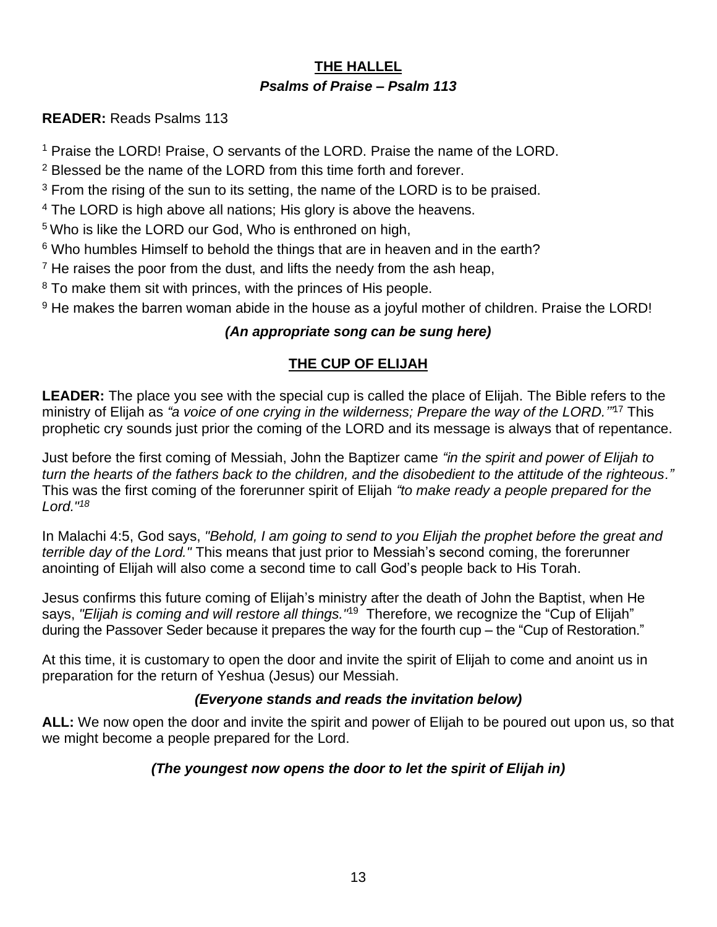## **THE HALLEL** *Psalms of Praise – Psalm 113*

## **READER:** Reads Psalms 113

<sup>1</sup> Praise the LORD! Praise, O servants of the LORD. Praise the name of the LORD.

<sup>2</sup> Blessed be the name of the LORD from this time forth and forever.

 $3$  From the rising of the sun to its setting, the name of the LORD is to be praised.

<sup>4</sup> The LORD is high above all nations; His glory is above the heavens.

<sup>5</sup> Who is like the LORD our God, Who is enthroned on high,

<sup>6</sup> Who humbles Himself to behold the things that are in heaven and in the earth?

 $<sup>7</sup>$  He raises the poor from the dust, and lifts the needy from the ash heap,</sup>

<sup>8</sup> To make them sit with princes, with the princes of His people.

<sup>9</sup> He makes the barren woman abide in the house as a joyful mother of children. Praise the LORD!

## *(An appropriate song can be sung here)*

## **THE CUP OF ELIJAH**

**LEADER:** The place you see with the special cup is called the place of Elijah. The Bible refers to the ministry of Elijah as *"a voice of one crying in the wilderness; Prepare the way of the LORD.'"* <sup>17</sup> This prophetic cry sounds just prior the coming of the LORD and its message is always that of repentance.

Just before the first coming of Messiah, John the Baptizer came *"in the spirit and power of Elijah to turn the hearts of the fathers back to the children, and the disobedient to the attitude of the righteous."* This was the first coming of the forerunner spirit of Elijah *"to make ready a people prepared for the Lord."<sup>18</sup>*

In Malachi 4:5, God says, *"Behold, I am going to send to you Elijah the prophet before the great and terrible day of the Lord."* This means that just prior to Messiah's second coming, the forerunner anointing of Elijah will also come a second time to call God's people back to His Torah.

Jesus confirms this future coming of Elijah's ministry after the death of John the Baptist, when He says, *"Elijah is coming and will restore all things."* <sup>19</sup> Therefore, we recognize the "Cup of Elijah" during the Passover Seder because it prepares the way for the fourth cup – the "Cup of Restoration."

At this time, it is customary to open the door and invite the spirit of Elijah to come and anoint us in preparation for the return of Yeshua (Jesus) our Messiah.

## *(Everyone stands and reads the invitation below)*

**ALL:** We now open the door and invite the spirit and power of Elijah to be poured out upon us, so that we might become a people prepared for the Lord.

## *(The youngest now opens the door to let the spirit of Elijah in)*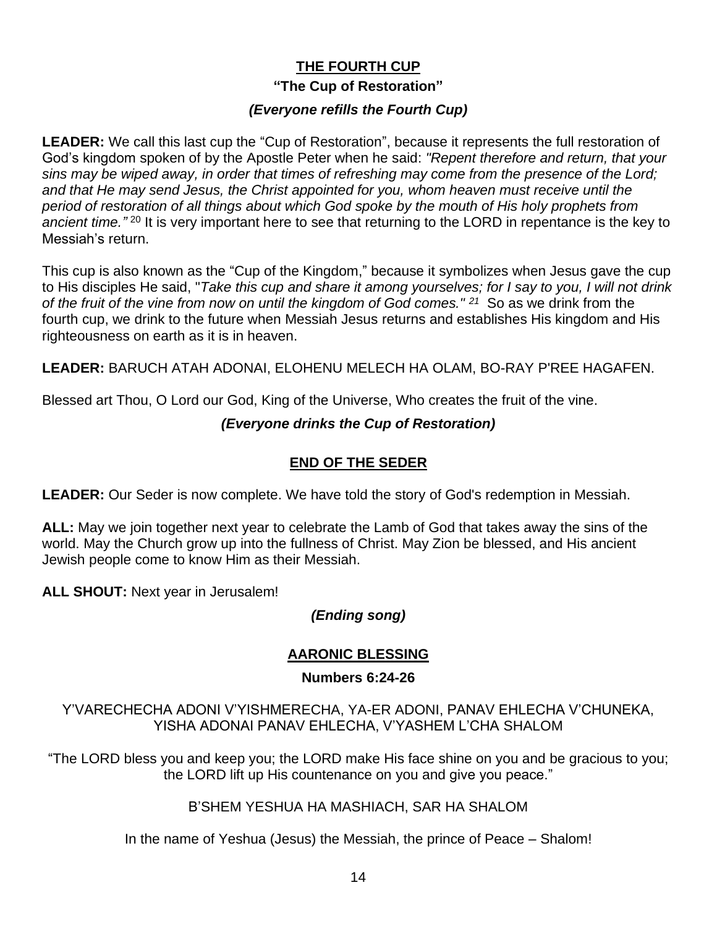## **THE FOURTH CUP "The Cup of Restoration"** *(Everyone refills the Fourth Cup)*

**LEADER:** We call this last cup the "Cup of Restoration", because it represents the full restoration of God's kingdom spoken of by the Apostle Peter when he said: *"Repent therefore and return, that your sins may be wiped away, in order that times of refreshing may come from the presence of the Lord; and that He may send Jesus, the Christ appointed for you, whom heaven must receive until the period of restoration of all things about which God spoke by the mouth of His holy prophets from*  ancient time.<sup>" 20</sup> It is very important here to see that returning to the LORD in repentance is the key to Messiah's return.

This cup is also known as the "Cup of the Kingdom," because it symbolizes when Jesus gave the cup to His disciples He said, "*Take this cup and share it among yourselves; for I say to you, I will not drink of the fruit of the vine from now on until the kingdom of God comes." <sup>21</sup>* So as we drink from the fourth cup, we drink to the future when Messiah Jesus returns and establishes His kingdom and His righteousness on earth as it is in heaven.

**LEADER:** BARUCH ATAH ADONAI, ELOHENU MELECH HA OLAM, BO-RAY P'REE HAGAFEN.

Blessed art Thou, O Lord our God, King of the Universe, Who creates the fruit of the vine.

#### *(Everyone drinks the Cup of Restoration)*

## **END OF THE SEDER**

**LEADER:** Our Seder is now complete. We have told the story of God's redemption in Messiah.

**ALL:** May we join together next year to celebrate the Lamb of God that takes away the sins of the world. May the Church grow up into the fullness of Christ. May Zion be blessed, and His ancient Jewish people come to know Him as their Messiah.

**ALL SHOUT:** Next year in Jerusalem!

## *(Ending song)*

## **AARONIC BLESSING**

#### **Numbers 6:24-26**

Y'VARECHECHA ADONI V'YISHMERECHA, YA-ER ADONI, PANAV EHLECHA V'CHUNEKA, YISHA ADONAI PANAV EHLECHA, V'YASHEM L'CHA SHALOM

"The LORD bless you and keep you; the LORD make His face shine on you and be gracious to you; the LORD lift up His countenance on you and give you peace."

#### B'SHEM YESHUA HA MASHIACH, SAR HA SHALOM

In the name of Yeshua (Jesus) the Messiah, the prince of Peace – Shalom!